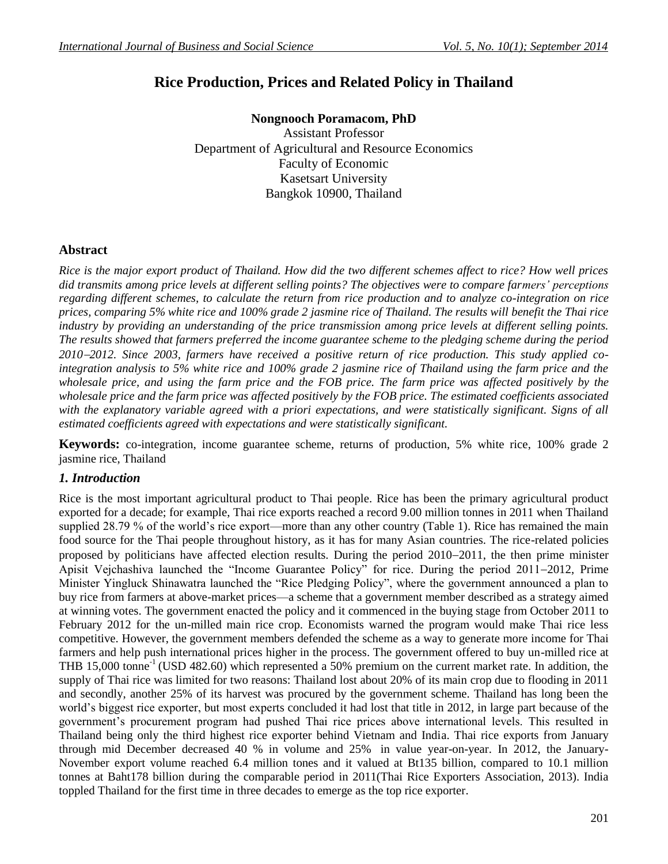# **Rice Production, Prices and Related Policy in Thailand**

**Nongnooch Poramacom, PhD** Assistant Professor Department of Agricultural and Resource Economics Faculty of Economic Kasetsart University Bangkok 10900, Thailand

# **Abstract**

*Rice is the major export product of Thailand. How did the two different schemes affect to rice? How well prices did transmits among price levels at different selling points? The objectives were to compare farmers' perceptions regarding different schemes, to calculate the return from rice production and to analyze co-integration on rice prices, comparing 5% white rice and 100% grade 2 jasmine rice of Thailand. The results will benefit the Thai rice industry by providing an understanding of the price transmission among price levels at different selling points. The results showed that farmers preferred the income guarantee scheme to the pledging scheme during the period 20102012. Since 2003, farmers have received a positive return of rice production. This study applied cointegration analysis to 5% white rice and 100% grade 2 jasmine rice of Thailand using the farm price and the wholesale price, and using the farm price and the FOB price. The farm price was affected positively by the wholesale price and the farm price was affected positively by the FOB price. The estimated coefficients associated*  with the explanatory variable agreed with a priori expectations, and were statistically significant. Signs of all *estimated coefficients agreed with expectations and were statistically significant.*

**Keywords:** co-integration, income guarantee scheme, returns of production, 5% white rice, 100% grade 2 jasmine rice, Thailand

# *1. Introduction*

Rice is the most important agricultural product to Thai people. Rice has been the primary agricultural product exported for a decade; for example, Thai rice exports reached a record 9.00 million tonnes in 2011 when Thailand supplied 28.79 % of the world's rice export—more than any other country (Table 1). Rice has remained the main food source for the Thai people throughout history, as it has for many Asian countries. The rice-related policies proposed by politicians have affected election results. During the period  $2010-2011$ , the then prime minister Apisit Vejchashiva launched the "Income Guarantee Policy" for rice. During the period 2011-2012, Prime Minister Yingluck Shinawatra launched the "Rice Pledging Policy", where the government announced a plan to buy rice from farmers at above-market prices—a scheme that a government member [described as a strategy aimed](http://www.bloomberg.com/news/2011-06-01/thai-rice-prices-seen-rising-50-as-thaksin-seeks-rural-votes.html)  [at winning votes.](http://www.bloomberg.com/news/2011-06-01/thai-rice-prices-seen-rising-50-as-thaksin-seeks-rural-votes.html) The government enacted the policy and it commenced in the buying stage from October 2011 to February 2012 for the un-milled main rice crop. Economists warned the program would make Thai rice less competitive. However, the government members defended the scheme as a way to generate more income for Thai farmers and help push international prices higher in the process. The government offered to buy un-milled rice at THB 15,000 tonne-1 (USD 482.60) which represented a 50% premium on the current market rate. In addition, the supply of Thai rice was limited for two reasons: Thailand lost about 20% of its main crop due to flooding in 2011 and secondly, another 25% of its harvest was procured by the government scheme. Thailand has long been the world's biggest rice exporter, but most experts concluded it had lost that title in 2012, in large part because of the government's procurement program had pushed Thai rice prices above international levels. This resulted in Thailand being only the third highest rice exporter behind Vietnam and India. Thai rice exports from January through mid December decreased 40 % in volume and 25% in value year-on-year. In 2012, the January-November export volume reached 6.4 million tones and it valued at Bt135 billion, compared to 10.1 million tonnes at Baht178 billion during the comparable period in 2011(Thai Rice Exporters Association, 2013). India toppled Thailand for the first time in three decades to emerge as the top rice exporter.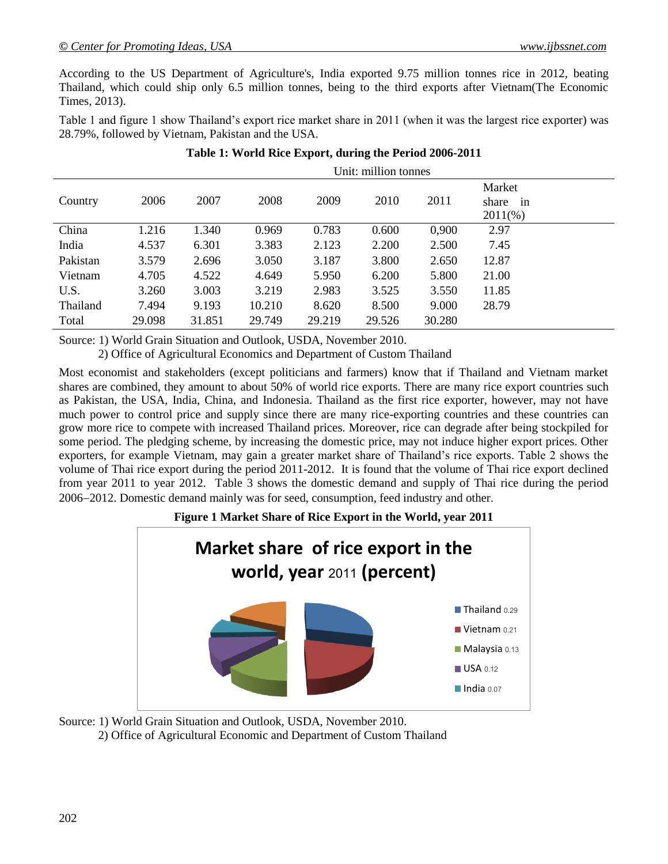According to the US Department of Agriculture's, India exported 9.75 million tonnes rice in 2012, beating Thailand, which could ship only 6.5 million tonnes, being to the third exports after Vietnam(The Economic Times, 2013).

Table 1 and figure 1 show Thailand's export rice market share in 2011 (when it was the largest rice exporter) was 28.79%, followed by Vietnam, Pakistan and the USA.

|          | Unit: million tonnes |        |        |        |        |        |                                |  |
|----------|----------------------|--------|--------|--------|--------|--------|--------------------------------|--|
| Country  | 2006                 | 2007   | 2008   | 2009   | 2010   | 2011   | Market<br>share in<br>$2011\%$ |  |
| China    | 1.216                | 1.340  | 0.969  | 0.783  | 0.600  | 0,900  | 2.97                           |  |
| India    | 4.537                | 6.301  | 3.383  | 2.123  | 2.200  | 2.500  | 7.45                           |  |
| Pakistan | 3.579                | 2.696  | 3.050  | 3.187  | 3.800  | 2.650  | 12.87                          |  |
| Vietnam  | 4.705                | 4.522  | 4.649  | 5.950  | 6.200  | 5.800  | 21.00                          |  |
| U.S.     | 3.260                | 3.003  | 3.219  | 2.983  | 3.525  | 3.550  | 11.85                          |  |
| Thailand | 7.494                | 9.193  | 10.210 | 8.620  | 8.500  | 9.000  | 28.79                          |  |
| Total    | 29.098               | 31.851 | 29.749 | 29.219 | 29.526 | 30.280 |                                |  |

# **Table 1: World Rice Export, during the Period 2006-2011**

Source: 1) World Grain Situation and Outlook, USDA, November 2010.

2) Office of Agricultural Economics and Department of Custom Thailand

Most economist and stakeholders (except politicians and farmers) know that if Thailand and Vietnam market shares are combined, they amount to about 50% of world rice exports. There are many rice export countries such as Pakistan, the USA, India, China, and Indonesia. Thailand as the first rice exporter, however, may not have much power to control price and supply since there are many rice-exporting countries and these countries can grow more rice to compete with increased Thailand prices. Moreover, rice can degrade after being stockpiled for some period. The pledging scheme, by increasing the domestic price, may not induce higher export prices. Other exporters, for example Vietnam, may gain a greater market share of Thailand's rice exports. Table 2 shows the volume of Thai rice export during the period 2011-2012. It is found that the volume of Thai rice export declined from year 2011 to year 2012. Table 3 shows the domestic demand and supply of Thai rice during the period 20062012. Domestic demand mainly was for seed, consumption, feed industry and other.

# **Figure 1 Market Share of Rice Export in the World, year 2011**



Source: 1) World Grain Situation and Outlook, USDA, November 2010.

2) Office of Agricultural Economic and Department of Custom Thailand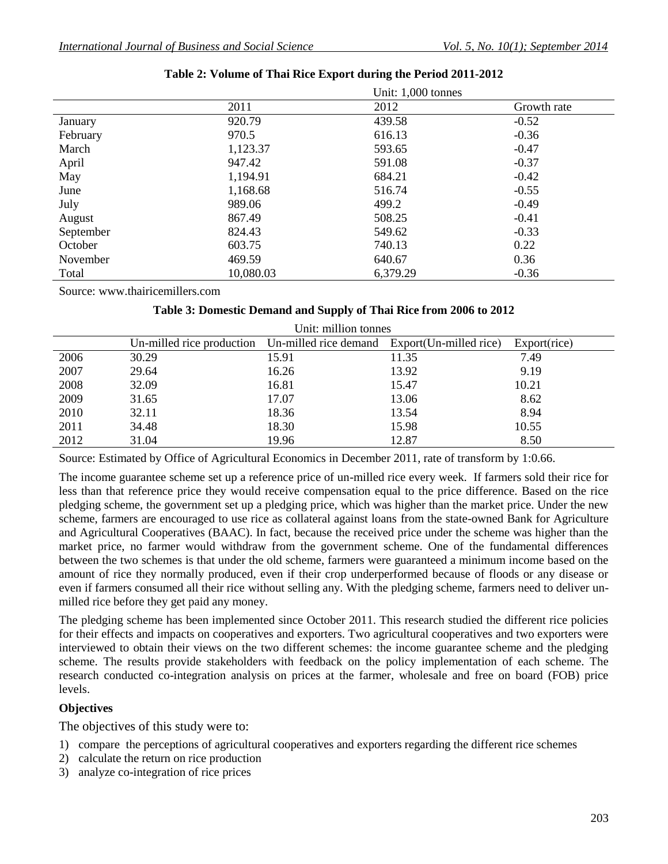|           |           | Unit: $1,000$ tonnes |             |
|-----------|-----------|----------------------|-------------|
|           | 2011      | 2012                 | Growth rate |
| January   | 920.79    | 439.58               | $-0.52$     |
| February  | 970.5     | 616.13               | $-0.36$     |
| March     | 1,123.37  | 593.65               | $-0.47$     |
| April     | 947.42    | 591.08               | $-0.37$     |
| May       | 1,194.91  | 684.21               | $-0.42$     |
| June      | 1,168.68  | 516.74               | $-0.55$     |
| July      | 989.06    | 499.2                | $-0.49$     |
| August    | 867.49    | 508.25               | $-0.41$     |
| September | 824.43    | 549.62               | $-0.33$     |
| October   | 603.75    | 740.13               | 0.22        |
| November  | 469.59    | 640.67               | 0.36        |
| Total     | 10,080.03 | 6,379.29             | $-0.36$     |

# **Table 2: Volume of Thai Rice Export during the Period 2011-2012**

Source: www.thairicemillers.com

### **Table 3: Domestic Demand and Supply of Thai Rice from 2006 to 2012**

| Unit: million tonnes |                                                                        |       |       |              |  |  |
|----------------------|------------------------------------------------------------------------|-------|-------|--------------|--|--|
|                      | Un-milled rice production Un-milled rice demand Export(Un-milled rice) |       |       | Export(rice) |  |  |
| 2006                 | 30.29                                                                  | 15.91 | 11.35 | 7.49         |  |  |
| 2007                 | 29.64                                                                  | 16.26 | 13.92 | 9.19         |  |  |
| 2008                 | 32.09                                                                  | 16.81 | 15.47 | 10.21        |  |  |
| 2009                 | 31.65                                                                  | 17.07 | 13.06 | 8.62         |  |  |
| 2010                 | 32.11                                                                  | 18.36 | 13.54 | 8.94         |  |  |
| 2011                 | 34.48                                                                  | 18.30 | 15.98 | 10.55        |  |  |
| 2012                 | 31.04                                                                  | 19.96 | 12.87 | 8.50         |  |  |

Source: Estimated by Office of Agricultural Economics in December 2011, rate of transform by 1:0.66.

The income guarantee scheme set up a reference price of un-milled rice every week. If farmers sold their rice for less than that reference price they would receive compensation equal to the price difference. Based on the rice pledging scheme, the government set up a pledging price, which was higher than the market price. Under the new scheme, farmers are encouraged to use rice as collateral against loans from the state-owned Bank for Agriculture and Agricultural Cooperatives (BAAC). In fact, because the received price under the scheme was higher than the market price, no farmer would withdraw from the government scheme. One of the fundamental differences between the two schemes is that under the old scheme, farmers were guaranteed a minimum income based on the amount of rice they normally produced, even if their crop underperformed because of floods or any disease or even if farmers consumed all their rice without selling any. With the pledging scheme, farmers need to deliver unmilled rice before they get paid any money.

The pledging scheme has been implemented since October 2011. This research studied the different rice policies for their effects and impacts on cooperatives and exporters. Two agricultural cooperatives and two exporters were interviewed to obtain their views on the two different schemes: the income guarantee scheme and the pledging scheme. The results provide stakeholders with feedback on the policy implementation of each scheme. The research conducted co-integration analysis on prices at the farmer, wholesale and free on board (FOB) price levels.

# **Objectives**

The objectives of this study were to:

- 1) compare the perceptions of agricultural cooperatives and exporters regarding the different rice schemes
- 2) calculate the return on rice production
- 3) analyze co-integration of rice prices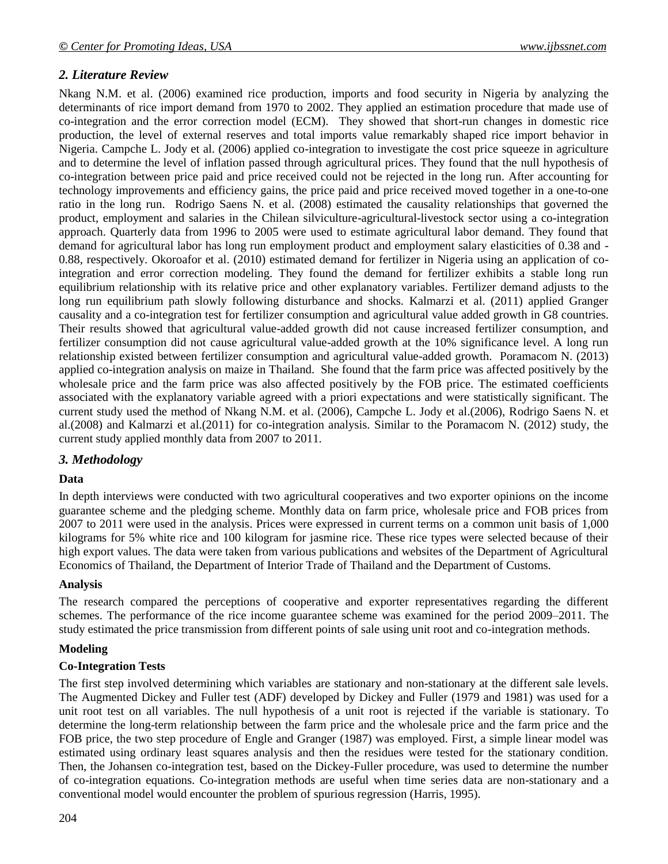# *2. Literature Review*

Nkang N.M. et al. (2006) examined rice production, imports and food security in Nigeria by analyzing the determinants of rice import demand from 1970 to 2002. They applied an estimation procedure that made use of co-integration and the error correction model (ECM). They showed that short-run changes in domestic rice production, the level of external reserves and total imports value remarkably shaped rice import behavior in Nigeria. Campche L. Jody et al. (2006) applied co-integration to investigate the cost price squeeze in agriculture and to determine the level of inflation passed through agricultural prices. They found that the null hypothesis of co-integration between price paid and price received could not be rejected in the long run. After accounting for technology improvements and efficiency gains, the price paid and price received moved together in a one-to-one ratio in the long run. Rodrigo Saens N. et al. (2008) estimated the causality relationships that governed the product, employment and salaries in the Chilean silviculture-agricultural-livestock sector using a co-integration approach. Quarterly data from 1996 to 2005 were used to estimate agricultural labor demand. They found that demand for agricultural labor has long run employment product and employment salary elasticities of 0.38 and - 0.88, respectively. Okoroafor et al. (2010) estimated demand for fertilizer in Nigeria using an application of cointegration and error correction modeling. They found the demand for fertilizer exhibits a stable long run equilibrium relationship with its relative price and other explanatory variables. Fertilizer demand adjusts to the long run equilibrium path slowly following disturbance and shocks. Kalmarzi et al. (2011) applied Granger causality and a co-integration test for fertilizer consumption and agricultural value added growth in G8 countries. Their results showed that agricultural value-added growth did not cause increased fertilizer consumption, and fertilizer consumption did not cause agricultural value-added growth at the 10% significance level. A long run relationship existed between fertilizer consumption and agricultural value-added growth. Poramacom N. (2013) applied co-integration analysis on maize in Thailand. She found that the farm price was affected positively by the wholesale price and the farm price was also affected positively by the FOB price. The estimated coefficients associated with the explanatory variable agreed with a priori expectations and were statistically significant. The current study used the method of Nkang N.M. et al. (2006), Campche L. Jody et al.(2006), Rodrigo Saens N. et al.(2008) and Kalmarzi et al.(2011) for co-integration analysis. Similar to the Poramacom N. (2012) study, the current study applied monthly data from 2007 to 2011.

# *3. Methodology*

#### **Data**

In depth interviews were conducted with two agricultural cooperatives and two exporter opinions on the income guarantee scheme and the pledging scheme. Monthly data on farm price, wholesale price and FOB prices from 2007 to 2011 were used in the analysis. Prices were expressed in current terms on a common unit basis of 1,000 kilograms for 5% white rice and 100 kilogram for jasmine rice. These rice types were selected because of their high export values. The data were taken from various publications and websites of the Department of Agricultural Economics of Thailand, the Department of Interior Trade of Thailand and the Department of Customs.

#### **Analysis**

The research compared the perceptions of cooperative and exporter representatives regarding the different schemes. The performance of the rice income guarantee scheme was examined for the period 2009–2011. The study estimated the price transmission from different points of sale using unit root and co-integration methods.

#### **Modeling**

#### **Co-Integration Tests**

The first step involved determining which variables are stationary and non-stationary at the different sale levels. The Augmented Dickey and Fuller test (ADF) developed by Dickey and Fuller (1979 and 1981) was used for a unit root test on all variables. The null hypothesis of a unit root is rejected if the variable is stationary. To determine the long-term relationship between the farm price and the wholesale price and the farm price and the FOB price, the two step procedure of Engle and Granger (1987) was employed. First, a simple linear model was estimated using ordinary least squares analysis and then the residues were tested for the stationary condition. Then, the Johansen co-integration test, based on the Dickey-Fuller procedure, was used to determine the number of co-integration equations. Co-integration methods are useful when time series data are non-stationary and a conventional model would encounter the problem of spurious regression (Harris, 1995).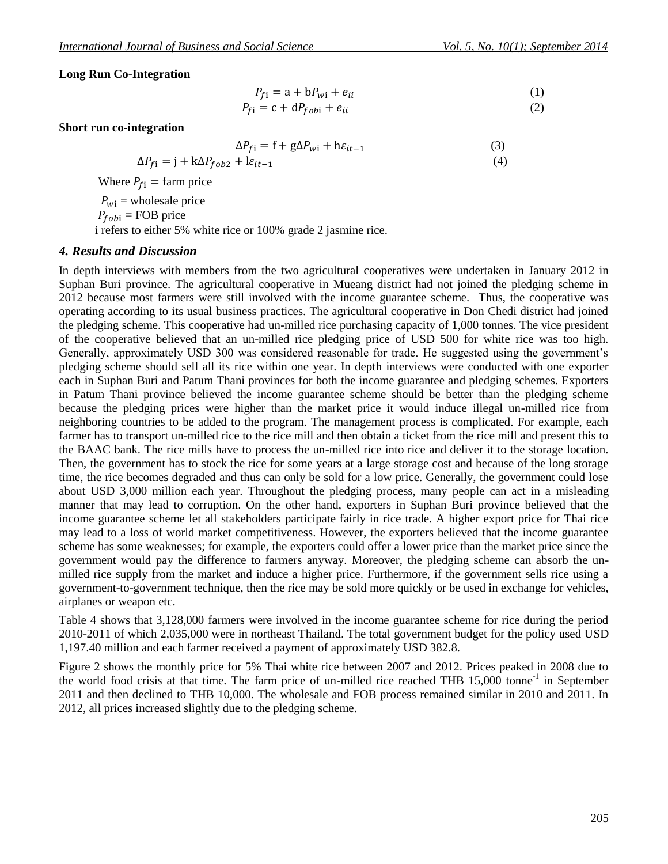#### **Long Run Co-Integration**

$$
P_{f1} = a + bP_{wi} + e_{ii}
$$
\n<sup>(1)</sup>

$$
P_{f1} = c + dP_{fobi} + e_{ii}
$$
 (2)

#### **Short run co-integration**

$$
\Delta P_{fi} = f + g \Delta P_{wi} + h \varepsilon_{it-1}
$$
\n(3)

$$
\Delta P_{fi} = \mathbf{j} + \mathbf{k} \Delta P_{fob2} + \mathbf{l} \varepsilon_{it-1} \tag{4}
$$

Where  $P_{f_i}$  = farm price

 $P_{wi}$  = wholesale price  $P_{fobi}$  = FOB price i refers to either 5% white rice or 100% grade 2 jasmine rice.

#### *4. Results and Discussion*

In depth interviews with members from the two agricultural cooperatives were undertaken in January 2012 in Suphan Buri province. The agricultural cooperative in Mueang district had not joined the pledging scheme in 2012 because most farmers were still involved with the income guarantee scheme. Thus, the cooperative was operating according to its usual business practices. The agricultural cooperative in Don Chedi district had joined the pledging scheme. This cooperative had un-milled rice purchasing capacity of 1,000 tonnes. The vice president of the cooperative believed that an un-milled rice pledging price of USD 500 for white rice was too high. Generally, approximately USD 300 was considered reasonable for trade. He suggested using the government's pledging scheme should sell all its rice within one year. In depth interviews were conducted with one exporter each in Suphan Buri and Patum Thani provinces for both the income guarantee and pledging schemes. Exporters in Patum Thani province believed the income guarantee scheme should be better than the pledging scheme because the pledging prices were higher than the market price it would induce illegal un-milled rice from neighboring countries to be added to the program. The management process is complicated. For example, each farmer has to transport un-milled rice to the rice mill and then obtain a ticket from the rice mill and present this to the BAAC bank. The rice mills have to process the un-milled rice into rice and deliver it to the storage location. Then, the government has to stock the rice for some years at a large storage cost and because of the long storage time, the rice becomes degraded and thus can only be sold for a low price. Generally, the government could lose about USD 3,000 million each year. Throughout the pledging process, many people can act in a misleading manner that may lead to corruption. On the other hand, exporters in Suphan Buri province believed that the income guarantee scheme let all stakeholders participate fairly in rice trade. A higher export price for Thai rice may lead to a loss of world market competitiveness. However, the exporters believed that the income guarantee scheme has some weaknesses; for example, the exporters could offer a lower price than the market price since the government would pay the difference to farmers anyway. Moreover, the pledging scheme can absorb the unmilled rice supply from the market and induce a higher price. Furthermore, if the government sells rice using a government-to-government technique, then the rice may be sold more quickly or be used in exchange for vehicles, airplanes or weapon etc.

Table 4 shows that 3,128,000 farmers were involved in the income guarantee scheme for rice during the period 2010-2011 of which 2,035,000 were in northeast Thailand. The total government budget for the policy used USD 1,197.40 million and each farmer received a payment of approximately USD 382.8.

Figure 2 shows the monthly price for 5% Thai white rice between 2007 and 2012. Prices peaked in 2008 due to the world food crisis at that time. The farm price of un-milled rice reached THB 15,000 tonne<sup>-1</sup> in September 2011 and then declined to THB 10,000. The wholesale and FOB process remained similar in 2010 and 2011. In 2012, all prices increased slightly due to the pledging scheme.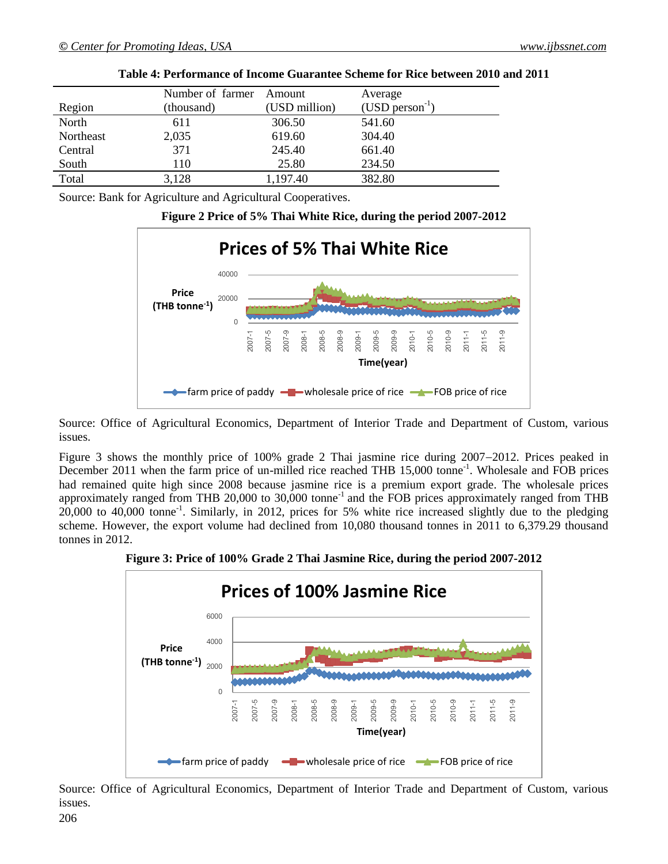|           | Number of farmer | Amount        | Average             |
|-----------|------------------|---------------|---------------------|
| Region    | (thousand)       | (USD million) | $(USD person^{-1})$ |
| North     | 611              | 306.50        | 541.60              |
| Northeast | 2,035            | 619.60        | 304.40              |
| Central   | 371              | 245.40        | 661.40              |
| South     | 110              | 25.80         | 234.50              |
| Total     | 3,128            | 1,197.40      | 382.80              |

**Table 4: Performance of Income Guarantee Scheme for Rice between 2010 and 2011**

Source: Bank for Agriculture and Agricultural Cooperatives.

# **Figure 2 Price of 5% Thai White Rice, during the period 2007-2012**



Source: Office of Agricultural Economics, Department of Interior Trade and Department of Custom, various issues.

Figure 3 shows the monthly price of 100% grade 2 Thai jasmine rice during 2007–2012. Prices peaked in December 2011 when the farm price of un-milled rice reached THB 15,000 tonne<sup>-1</sup>. Wholesale and FOB prices had remained quite high since 2008 because jasmine rice is a premium export grade. The wholesale prices approximately ranged from THB 20,000 to 30,000 tonne<sup>-1</sup> and the FOB prices approximately ranged from THB 20,000 to 40,000 tonne-1 . Similarly, in 2012, prices for 5% white rice increased slightly due to the pledging scheme. However, the export volume had declined from 10,080 thousand tonnes in 2011 to 6,379.29 thousand tonnes in 2012.

**Figure 3: Price of 100% Grade 2 Thai Jasmine Rice, during the period 2007-2012**



Source: Office of Agricultural Economics, Department of Interior Trade and Department of Custom, various issues.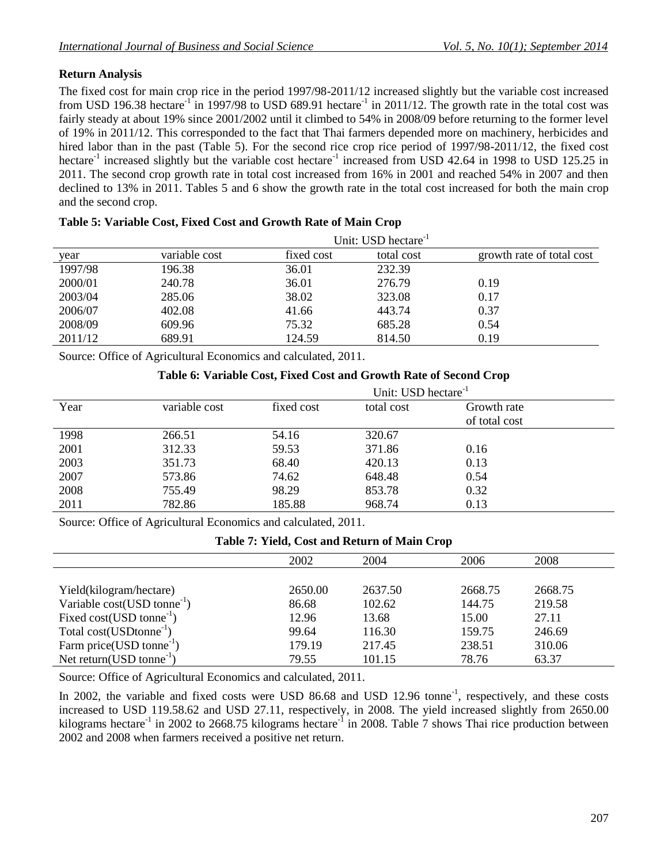# **Return Analysis**

The fixed cost for main crop rice in the period 1997/98-2011/12 increased slightly but the variable cost increased from USD 196.38 hectare<sup>-1</sup> in 1997/98 to USD 689.91 hectare<sup>-1</sup> in 2011/12. The growth rate in the total cost was fairly steady at about 19% since 2001/2002 until it climbed to 54% in 2008/09 before returning to the former level of 19% in 2011/12. This corresponded to the fact that Thai farmers depended more on machinery, herbicides and hired labor than in the past (Table 5). For the second rice crop rice period of 1997/98-2011/12, the fixed cost hectare<sup>-1</sup> increased slightly but the variable cost hectare<sup>-1</sup> increased from USD 42.64 in 1998 to USD 125.25 in 2011. The second crop growth rate in total cost increased from 16% in 2001 and reached 54% in 2007 and then declined to 13% in 2011. Tables 5 and 6 show the growth rate in the total cost increased for both the main crop and the second crop.

|         | Unit: USD hectare <sup>-1</sup> |            |            |                           |  |  |  |
|---------|---------------------------------|------------|------------|---------------------------|--|--|--|
| year    | variable cost                   | fixed cost | total cost | growth rate of total cost |  |  |  |
| 1997/98 | 196.38                          | 36.01      | 232.39     |                           |  |  |  |
| 2000/01 | 240.78                          | 36.01      | 276.79     | 0.19                      |  |  |  |
| 2003/04 | 285.06                          | 38.02      | 323.08     | 0.17                      |  |  |  |
| 2006/07 | 402.08                          | 41.66      | 443.74     | 0.37                      |  |  |  |
| 2008/09 | 609.96                          | 75.32      | 685.28     | 0.54                      |  |  |  |
| 2011/12 | 689.91                          | 124.59     | 814.50     | 0.19                      |  |  |  |

|  |  |  |  |  | Table 5: Variable Cost, Fixed Cost and Growth Rate of Main Crop |
|--|--|--|--|--|-----------------------------------------------------------------|
|--|--|--|--|--|-----------------------------------------------------------------|

Source: Office of Agricultural Economics and calculated, 2011.

# **Table 6: Variable Cost, Fixed Cost and Growth Rate of Second Crop**

|      |               | Unit: USD hectare $^{-1}$ |            |               |  |  |
|------|---------------|---------------------------|------------|---------------|--|--|
| Year | variable cost | fixed cost                | total cost | Growth rate   |  |  |
|      |               |                           |            | of total cost |  |  |
| 1998 | 266.51        | 54.16                     | 320.67     |               |  |  |
| 2001 | 312.33        | 59.53                     | 371.86     | 0.16          |  |  |
| 2003 | 351.73        | 68.40                     | 420.13     | 0.13          |  |  |
| 2007 | 573.86        | 74.62                     | 648.48     | 0.54          |  |  |
| 2008 | 755.49        | 98.29                     | 853.78     | 0.32          |  |  |
| 2011 | 782.86        | 185.88                    | 968.74     | 0.13          |  |  |

Source: Office of Agricultural Economics and calculated, 2011.

### **Table 7: Yield, Cost and Return of Main Crop**

|                                         | 2002    | 2004    | 2006    | 2008    |
|-----------------------------------------|---------|---------|---------|---------|
|                                         |         |         |         |         |
| Yield(kilogram/hectare)                 | 2650.00 | 2637.50 | 2668.75 | 2668.75 |
| Variable $cost(USD \t{tonne}^{-1})$     | 86.68   | 102.62  | 144.75  | 219.58  |
| Fixed cost(USD tonne <sup>-1</sup> )    | 12.96   | 13.68   | 15.00   | 27.11   |
| Total cost(USDtonne <sup>-1</sup> )     | 99.64   | 116.30  | 159.75  | 246.69  |
| Farm price(USD tonne <sup>-1</sup> )    | 179.19  | 217.45  | 238.51  | 310.06  |
| Net return( $USD$ tonne <sup>-1</sup> ) | 79.55   | 101.15  | 78.76   | 63.37   |

Source: Office of Agricultural Economics and calculated, 2011.

In 2002, the variable and fixed costs were USD 86.68 and USD 12.96 tonne<sup>-1</sup>, respectively, and these costs increased to USD 119.58.62 and USD 27.11, respectively, in 2008. The yield increased slightly from 2650.00 kilograms hectare<sup>-1</sup> in 2002 to 2668.75 kilograms hectare<sup>-1</sup> in 2008. Table 7 shows Thai rice production between 2002 and 2008 when farmers received a positive net return.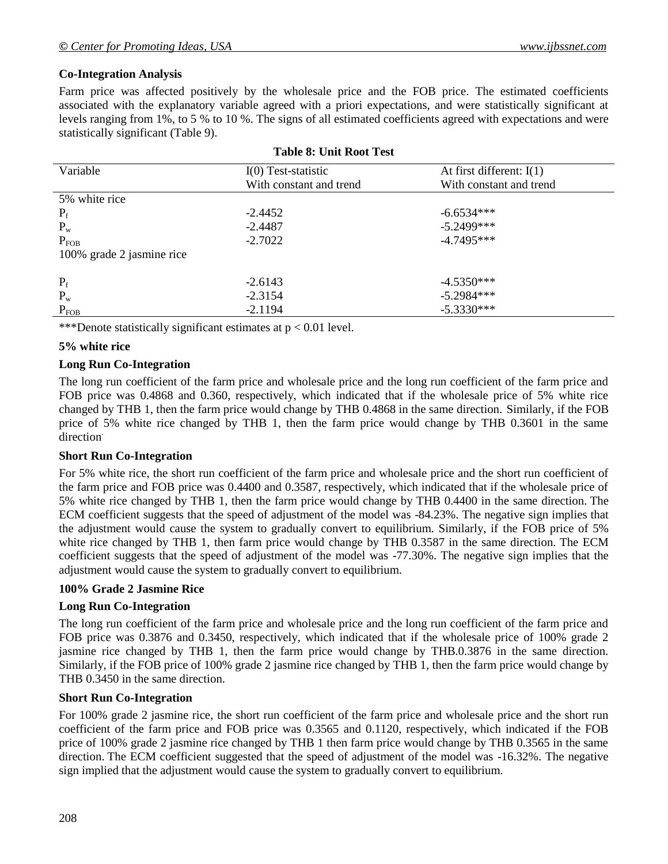# **Co-Integration Analysis**

Farm price was affected positively by the wholesale price and the FOB price. The estimated coefficients associated with the explanatory variable agreed with a priori expectations, and were statistically significant at levels ranging from 1%, to 5 % to 10 %. The signs of all estimated coefficients agreed with expectations and were statistically significant (Table 9).

| Variable                  | $I(0)$ Test-statistic   | At first different: $I(1)$ |
|---------------------------|-------------------------|----------------------------|
|                           | With constant and trend | With constant and trend    |
| 5% white rice             |                         |                            |
| $P_f$                     | $-2.4452$               | $-6.6534***$               |
| $P_{w}$                   | $-2.4487$               | $-5.2499***$               |
| $P_{FOB}$                 | $-2.7022$               | $-4.7495***$               |
| 100% grade 2 jasmine rice |                         |                            |
|                           |                         |                            |
| $P_f$                     | $-2.6143$               | $-4.5350***$               |
| $P_{w}$                   | $-2.3154$               | $-5.2984***$               |
| $P_{FOB}$                 | $-2.1194$               | $-5.3330***$               |

#### **Table 8: Unit Root Test**

\*\*\*Denote statistically significant estimates at p < 0.01 level.

#### **5% white rice**

#### **Long Run Co-Integration**

The long run coefficient of the farm price and wholesale price and the long run coefficient of the farm price and FOB price was 0.4868 and 0.360, respectively, which indicated that if the wholesale price of 5% white rice changed by THB 1, then the farm price would change by THB 0.4868 in the same direction. Similarly, if the FOB price of 5% white rice changed by THB 1, then the farm price would change by THB 0.3601 in the same direction<sup>.</sup>

#### **Short Run Co-Integration**

For 5% white rice, the short run coefficient of the farm price and wholesale price and the short run coefficient of the farm price and FOB price was 0.4400 and 0.3587, respectively, which indicated that if the wholesale price of 5% white rice changed by THB 1, then the farm price would change by THB 0.4400 in the same direction. The ECM coefficient suggests that the speed of adjustment of the model was -84.23%. The negative sign implies that the adjustment would cause the system to gradually convert to equilibrium. Similarly, if the FOB price of 5% white rice changed by THB 1, then farm price would change by THB 0.3587 in the same direction. The ECM coefficient suggests that the speed of adjustment of the model was -77.30%. The negative sign implies that the adjustment would cause the system to gradually convert to equilibrium.

#### **100% Grade 2 Jasmine Rice**

#### **Long Run Co-Integration**

The long run coefficient of the farm price and wholesale price and the long run coefficient of the farm price and FOB price was 0.3876 and 0.3450, respectively, which indicated that if the wholesale price of 100% grade 2 jasmine rice changed by THB 1, then the farm price would change by THB.0.3876 in the same direction. Similarly, if the FOB price of 100% grade 2 jasmine rice changed by THB 1, then the farm price would change by THB 0.3450 in the same direction.

#### **Short Run Co-Integration**

For 100% grade 2 jasmine rice, the short run coefficient of the farm price and wholesale price and the short run coefficient of the farm price and FOB price was 0.3565 and 0.1120, respectively, which indicated if the FOB price of 100% grade 2 jasmine rice changed by THB 1 then farm price would change by THB 0.3565 in the same direction. The ECM coefficient suggested that the speed of adjustment of the model was -16.32%. The negative sign implied that the adjustment would cause the system to gradually convert to equilibrium.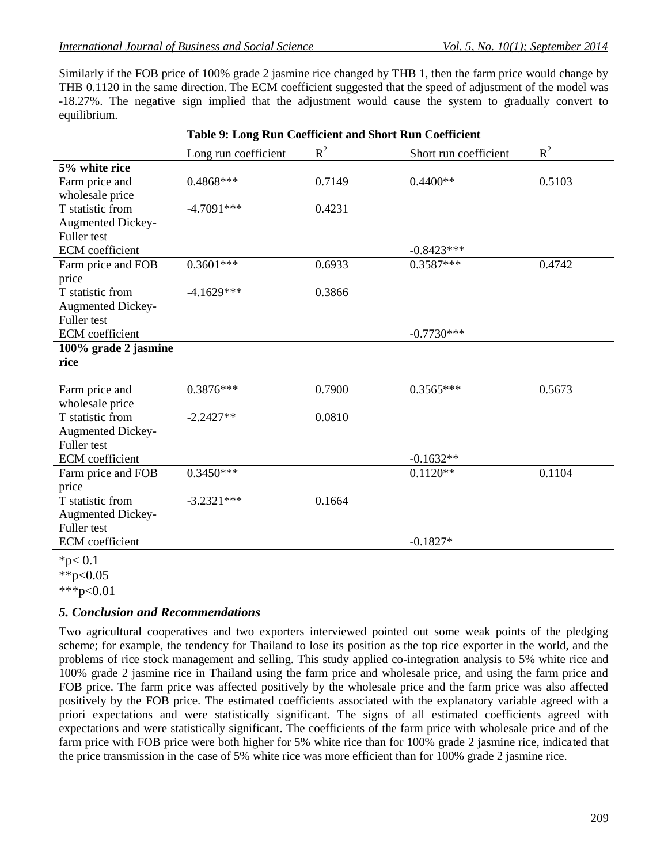Similarly if the FOB price of 100% grade 2 jasmine rice changed by THB 1, then the farm price would change by THB 0.1120 in the same direction. The ECM coefficient suggested that the speed of adjustment of the model was -18.27%. The negative sign implied that the adjustment would cause the system to gradually convert to equilibrium.

|                          | Long run coefficient | $R^2$  | Short run coefficient | $R^2$  |
|--------------------------|----------------------|--------|-----------------------|--------|
| 5% white rice            |                      |        |                       |        |
| Farm price and           | $0.4868***$          | 0.7149 | $0.4400**$            | 0.5103 |
| wholesale price          |                      |        |                       |        |
| T statistic from         | $-4.7091***$         | 0.4231 |                       |        |
| <b>Augmented Dickey-</b> |                      |        |                       |        |
| Fuller test              |                      |        |                       |        |
| <b>ECM</b> coefficient   |                      |        | $-0.8423***$          |        |
| Farm price and FOB       | $0.3601***$          | 0.6933 | $0.3587***$           | 0.4742 |
| price                    |                      |        |                       |        |
| T statistic from         | $-4.1629***$         | 0.3866 |                       |        |
| <b>Augmented Dickey-</b> |                      |        |                       |        |
| <b>Fuller</b> test       |                      |        |                       |        |
| <b>ECM</b> coefficient   |                      |        | $-0.7730***$          |        |
| 100% grade 2 jasmine     |                      |        |                       |        |
| rice                     |                      |        |                       |        |
|                          |                      |        |                       |        |
| Farm price and           | $0.3876***$          | 0.7900 | $0.3565***$           | 0.5673 |
| wholesale price          |                      |        |                       |        |
| T statistic from         | $-2.2427**$          | 0.0810 |                       |        |
| <b>Augmented Dickey-</b> |                      |        |                       |        |
| Fuller test              |                      |        |                       |        |
| <b>ECM</b> coefficient   |                      |        | $-0.1632**$           |        |
| Farm price and FOB       | $0.3450***$          |        | $0.1120**$            | 0.1104 |
| price                    |                      |        |                       |        |
| T statistic from         | $-3.2321***$         | 0.1664 |                       |        |
| <b>Augmented Dickey-</b> |                      |        |                       |        |
| <b>Fuller</b> test       |                      |        |                       |        |
| <b>ECM</b> coefficient   |                      |        | $-0.1827*$            |        |
| * $p < 0.1$              |                      |        |                       |        |
| 44.007                   |                      |        |                       |        |

#### **Table 9: Long Run Coefficient and Short Run Coefficient**

\*\*p< $0.05$  $***p<0.01$ 

# *5. Conclusion and Recommendations*

Two agricultural cooperatives and two exporters interviewed pointed out some weak points of the pledging scheme; for example, the tendency for Thailand to lose its position as the top rice exporter in the world, and the problems of rice stock management and selling. This study applied co-integration analysis to 5% white rice and 100% grade 2 jasmine rice in Thailand using the farm price and wholesale price, and using the farm price and FOB price. The farm price was affected positively by the wholesale price and the farm price was also affected positively by the FOB price. The estimated coefficients associated with the explanatory variable agreed with a priori expectations and were statistically significant. The signs of all estimated coefficients agreed with expectations and were statistically significant. The coefficients of the farm price with wholesale price and of the farm price with FOB price were both higher for 5% white rice than for 100% grade 2 jasmine rice, indicated that the price transmission in the case of 5% white rice was more efficient than for 100% grade 2 jasmine rice.